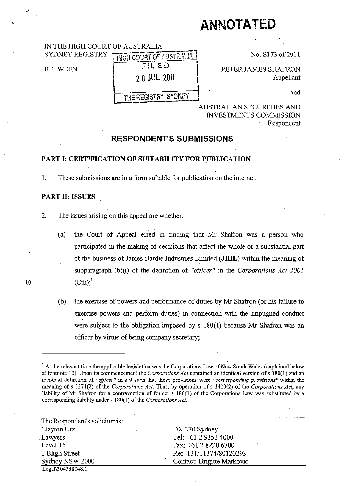# **ANNOTATED**

## IN THE HIGH COURT OF AUSTRALIA

SYDNEY REGISTRY

**BETWEEN** 

HIGH COURT OF AUSTRALIA

FILED 2 0 JUL 2011

THE REGISTRY SYDNEY

No. S173 of 2011

PETER JAMES SHAFRON Appellant

and

## AUSTRALIAN SECURITIES AND INVESTMENTS COMMISSION Respondent

## **RESPONDENT'S SUBMISSIONS**

## **PART I: CERTIFICATION OF SUITABILITY FOR PUBLICATION**

1. These submissions are in a form suitable for publication on the internet.

## **PART II: ISSUES**

- 2. The issues arising on this appeal are whether:
- (a) the Court of Appeal erred in fmding that Mr Shafron was a person who participated in the making of decisions that affect the whole or a substantial part of the business of James Hardie Industries Limited **(JHIL)** within the meaning of subparagraph (b)(i) of the definition of *"officer"* in the *Corporations Act 2001*  10  $(Ch)_1^1$ 
	- (b) the exercise of powers and perfonnance of duties by Mr Shafron (or his failure to exercise powers and perform duties) in connection with the impugned conduct were subject to the obligation imposed by s 180(1) because Mr Shafron was an officer by virtue of being company secretary;

<sup>&</sup>lt;sup>1</sup> At the relevant time the applicable legislation was the Corporations Law of New South Wales (explained below at footnote 10). Upon its commencement the *Corporations Act* contained an identical version of s 180(1) and an **identical definition of "officer" in s 9 such that those provisions were "corresponding provisions" within the** meaning of s \371(2) of the *Corporations Act.* Thus, by operation of s 1400(2) of the *Corporations Act,* any liability of Mr Shafron for a contravention of former s 180(1) of the Corporations Law was substituted by a corresponding liability under s 180(1) of the *Corporations Act.* 

| The Respondent's solicitor is: |                            |
|--------------------------------|----------------------------|
| Clayton Utz                    | DX 370 Sydney              |
| Lawyers                        | Tel: +61 2 9353 4000       |
| Level 15                       | Fax: $+61$ 2 8220 6700     |
| 1 Bligh Street                 | Ref: 131/11374/80120293    |
| Sydney NSW 2000                | Contact: Brigitte Markovic |
| Legal\304538048.1              |                            |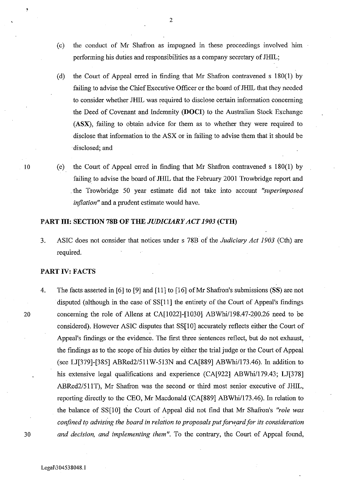- (c) the conduct of M1' Shafron as impugned in these proceedings involved him performing his duties and responsibilities as a company secretary of JHIL;
- (d) the Court of Appeal erred in finding that Mr Shafron contravened s 180(1) by failing to advise the Chief Executive Officer or the board of JHIL that they needed to consider whether JHIL was required to disclose certain information concerning the Deed of Covenant and Indemnity (DOCI) to the Australian Stock Exchange (ASX), failing to obtain advice for them as to whether they were required to disclose that information to the ASX or in failing to advise them that it should be disclosed; and
- 10 (e) the Court of Appeal erred in finding that Mr Shafron contravened s 180(1) by failing to advise the board of JHIL that the February 2001 Trowbridge report and . the Trowbridge 50 year estimate did not take into account *"superimposed inflation"* and a prudent estimate would have.

## **PART III:** SECTION 78B **OF THE** *JUDICIARY ACT 1903* (CTH)

3. ASIC does not consider that notices under s 78B of the *Judiciary Act 1903* (Cth) are required.

### PART IV: FACTS

4. The facts asserted in [6] to [9] and [11] to [16] of Mr Shafron's submissions (SS) are not disputed (although in the case of SS[11] the entirety of the Court of Appeal's findings 20 concerning the role of Allens at CA[1022]-[1030] ABWhi/198.47-200.26 need to be considered). However ASIC disputes that SS[10] accurately reflects either the Court of Appeal's findings or the evidence. The first three sentences reflect, but do not exhaust, the findings as to the scope of his duties by either the trial judge or the Court of Appeal (see LJ[379]-[385] ABRed2/511W-513N and CA[889] ABWhi/173.46). In addition to his extensive legal qualifications and experience (CA[922] ABWhi/179.43; LJ[378] ABRed2/51IT), Mr Shafron was the second or third most senior executive of JHIL, reporting directly to the CEO, Mr Macdonald (CA[889] ABWhi/173.46). In relation to the balance of SS[10] the Court of Appeal did not find that Mr Shafron's *"role was confined to advising the board in relation to proposals put forward for its consideration 30 and decision, and implementing them".* To the contrary, the Court of Appeal found,

Legal\3 0453 8048.1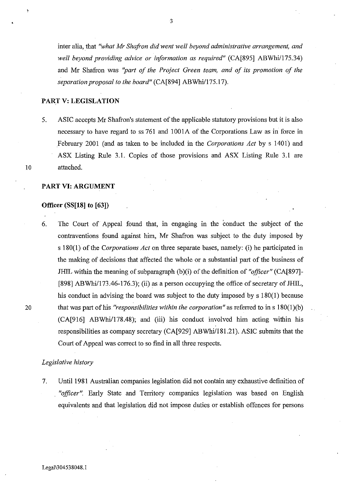inter alia, that "what Mr Shafron did went well beyond administrative arrangement, and *well beyond providing advice or information as required"* (CA[895] ABWhi/175.34) and Mr Shafron was *"part of the Project Green team, and of its promotion of the separation proposal to the board"* (CA[894] ABWhi/175.17).

## PART V: LEGISLATION

5. ASIC accepts Mr Shafron's statement of the applicable statutory provisions but it is also necessary to have regard to ss 761 and 1001A of the Corporations Law as in force in February 2001 (and as taken to be included in the *Corporations Act* by s 1401) and ASX Listing Rule 3.1. Copies of those provisions and ASX Listing Rule 3.1 are 10 attached.

,

### PART VI: ARGUMENT

### Officer (SS[18] to [63])

6. The Court of Appeal found that, in engaging in the conduct the subject of the contraventions found against him, Mr Shafron was subject to the duty imposed by s 180(1) of the *Corporations Act* on three separate bases, namely: (i) he participated in the making of decisions that affected the whole or a substantial part of the business of JHIL within the meaning of subparagraph (b)(i) of the definition of "officer" (CA[897]-[898] ABWhi/173.46-176.3); (ii) as a person occupying the office of secretary of JHIL, his conduct in advising the board was subject to the duty imposed by s 180(1) because 20 that was part of his *"responsibilities within the corporation"* as referred to in s 180(1)(b)  $(CA[916] ABWhi/178.48)$ ; and (iii) his conduct involved him acting within his responsibilities as company secretary (CA[929] ABWhi/181.21). ASIC submits that the Court of Appeal was correct to so find in all three respects.

### *Legislative history*

7. Until 1981 Australian companies legislation did not contain any exhaustive definition of *"officer".* Early State and Territory companies legislation was based on English equivalents and that legislation did not impose duties or establish offences for persons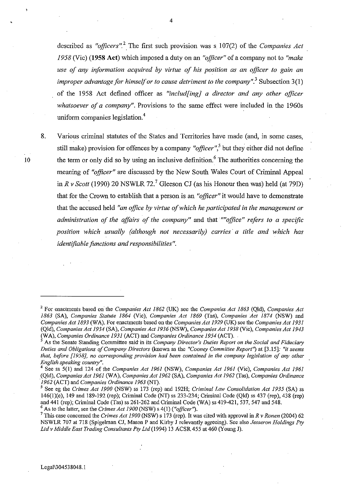described as "officers".<sup>2</sup> The first such provision was s 107(2) of the *Companies Act* 1958 (Vic) **(1958 Act)** which imposed a duty on an *"officer"* of a company not to *"make use of any information acquired by virtue of his position as an officer to gain an improper advantage for himself or to cause detriment to the company".*<sup>3</sup> Subsection 3(1) of the 1958 Act defined officer as *"includ{ingJ a director and any other officer whatsoever of a company".* Provisions to the same effect were included in the 1960s uniform companies legislation.<sup>4</sup>

8.

10

Various criminal statutes of the States and Territories have made (and, in some cases, still make) provision for offences by a company *"officer",5* but they either did not define the term or only did so by using an inclusive definition.<sup>6</sup> The authorities concerning the meaning of *"officer"* are discussed by the New South Wales Court of Criminal Appeal in  $R$  v Scott (1990) 20 NSWLR 72.<sup>7</sup> Gleeson CJ (as his Honour then was) held (at 79D) that for the Crown to establish that a person is an *"officer"* it would have to demonstrate that the accused held *"an office by virtue of which he participated in the management or administration of the affairs of the company"* and that *""office" refers to a specific position which usually (although not necessarily) carries' a title and which has identifiable functions and responsibilities".* 

<sup>&</sup>lt;sup>2</sup> For enactments based on the *Companies Act 1862* (UK) see the *Companies Act 1863* (Qld), *Companies Act* 1863 (SA), *Companies Statute* 1864 (Vic), *Companies Act* 1869 (Tas), *Companies Act* 1874 (NSW) and *Companies Act* 1893 (WA). For enactments based on the *Companies Act* 1929 (UK) see tbe *Companies Act 1931*  (Qld), *Companies Act* 1934 (SA), *Companies Act* 1936 (NSW), *Companies Act* 1938 (Vic), *Companies Act 1943*  (WA), *Companies Ordinance* 1931 (ACT) and *Companies Ordinance* 1954 (ACT).

<sup>3</sup> As the Senate Standing Committee said' in its *Company Director's Duties Report on the Social and Fiduciary Duties and Obligations of Company Directors* (known as the *"Cooney Committee Report')* at [3.15]: *"it seems that, before* [1958], *no corresponding provision had been contained in the company legislation of any other English speaking country".* 

<sup>4</sup> See ss 5(1) and 124 of the *Companies Act* 1961 (NSW), *Companies Act* 1961 (ViC), *Companies Act 1961*  (Qld), *Companies Act* 1961 (WA), *Companies Act* 1962 (SA), *Companies Act* 1962 (Tas), *Companies Ordinance*  1962 (ACT) and *Companies Ordinance* 1963 (NT).

<sup>5</sup> See eg the *Crimes Act 1900* (NSW) ss 173 (rep) and 192H; *Criminal Law Consolidation Act* 1935 (SA) ss 146(1)(e), 149 and 189-192 (rep); Criminal Code (NT) ss 233-234; Criminal Code (Qld) ss 437 (rep), 438 (rep) and 441 (rep); Criminal Code (Tas) ss 261-262 and Criminal Code (W A) ss 419421, 537, 547 and 548.

<sup>6</sup> As to the latter, see tbe *Crimes Act 1900* (NSW) s 4(1) *("officer').* 

<sup>7</sup> This case concerned the *Crimes Act 1900* (NSW) s 173 (rep). It was cited with approval in *R* v *Ronen* (2004) 62 NSWLR 707 at 718 (Spigehnan CJ, Mason P and Kirby J relevantly agreeing). See also *Jesseron Holdings Ply*  Ltd v Middle East Trading Consultants Pty Ltd (1994) 13 ACSR 455 at 460 (Young J).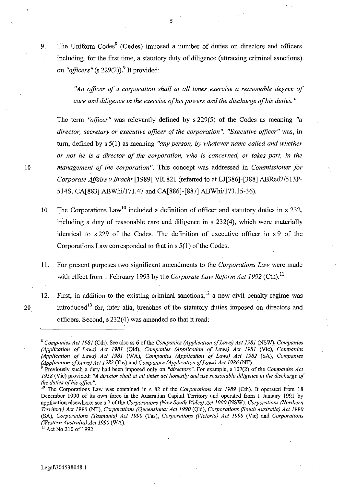9. The Uniform  $\text{Codes}^8$  (Codes) imposed a number of duties on directors and officers including, for the first time, a statutory duty of diligence (attracting criminal sanctions) on "*officers*" (s  $229(2)$ ).<sup>9</sup> It provided:

> *"An officer of a corporation shall at all times .exercise a reasonable degree of care and diligence in the exercise of his powers and the discharge of his duties. "*

The term *"officer"* was relevantly defined by s 229(5) of the Codes as meaning *"a director, secretary or executive officer of the corporation". "Executive officer"* was, in turn, defined by s 5(1) as meaning *"any person, by whatever name called and whether or not he is a director of the corporation, who* is *concerned, or takes part, in the 10 management of the corporation".* This concept was addressed in *Commissioner for Corporate Affairs v Bracht* [1989] VR 821 (referred to at LJ[386]-[388] *ABRed2/513P-*514S, CA[883] ABWhi/171.47 and CA[886]-[887] ABWhi/173.15-36).

- 10. The Corporations  $Law<sup>10</sup>$  included a definition of officer and statutory duties in s 232, including a duty of reasonable care and diligence in s 232(4), which were materially identical to s 229 of the Codes. The definition of executive officer in s 9 of the Corporations Law corresponded to that in s 5(1) of the Codes.
- 11. For present purposes two significant amendments to the *Corporations Law* were made with effect from 1 February 1993 by the *Corporate Law Reform Act 1992* (Cth).<sup>11</sup>
- 12. First, in addition to the existing criminal sanctions,  $12$  a new civil penalty regime was 20 introduced<sup>13</sup> for, inter alia, breaches of the statutory duties imposed on directors and officers. Second, s 232(4) was amended so that it read:

 $^{11}$  Act No 210 of 1992.

<sup>8</sup>*Companies Act* 1981 (Cth). See also ss 6 of the *Companies (Application of Laws) Act* 1981 (NSW), *Companies (Application of Laws) Act* 1981 (Qld), *Companies (Application of Laws) Act* 1981 (Vic), *Companies (Application of Laws) Act* 1981 (WA), *Companies (Application of Laws) Act* 1982 (SA), *Companies (Application of Laws) Act* 1982 (Tas) and *Companies (Application of Lows) Act* 1986 (NT).

<sup>9</sup> Previously such a duty had been imposed only on *"directors".* For example, s 107(2) of the *Companies Act*  1958 (Vic) provided: *"A director shall at all times act honestly and use reasonable diligence in the discharge of the duties of his office". .* 

<sup>&</sup>lt;sup>10</sup> The Corporations Law was contained in s 82 of the *Corporations Act 1989* (Cth). It operated from 18 December 1990 of its own force in the Australian Capital Territory and operated from I January 199.1 by application elsewhere: see s 7 of the *Corporations (New South Wales) Act 1990* (NSW), *Corporations (Northern Territory) Act 1990* (NT), *Corporations (Queensland) Act 1990* (Qld), *Corporations (South Australia) Act 1990*  (SA), *Corporations (Tasmania) Act 1990* (Tas), *Corporations (Victoria) Act 1990* (Vic) and *Corporations (Western Australia) Act 1990* (W A).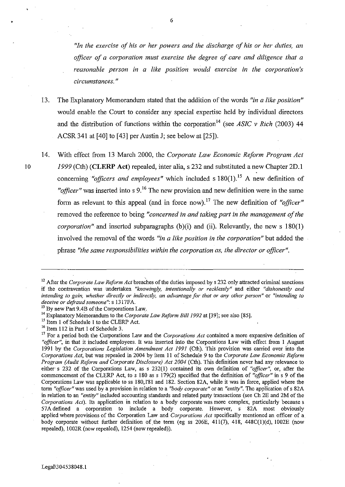*"In the exercise of his or her powers and the discharge of his or her duties, an officer of a corporation must exercise the degree of care and diligence that a reasonable person in a like position would exercise in the corporation's circumstances. "* 

- 13. The Explanatory Memorandum stated that the addition of the words *"in a like position"*  would enable the Court to consider any special expertise held by individual directors and the distribution of functions within the corporation<sup>14</sup> (see *ASIC v Rich* (2003) 44 ACSR 341 at [40] to [43] per Austin J; see below at [25]).
- 14. With effect from 13 March 2000, the *Corporate Law Economic Reform Program Act*  10 1999 (Cth) **(CLERP** Act) repealed, inter alia, s 232 and substituted a new Chapter 2D.l concerning *"officers and employees"* which included s 180(1).<sup>15</sup> A new definition of "*officer*" was inserted into s  $9<sup>16</sup>$ . The new provision and new definition were in the same form as relevant to this appeal (and in force now).17 The new definition of *"officer"*  removed the reference to being *"concerned in and taking part in the management of the corporation*" and inserted subparagraphs (b)(i) and (ii). Relevantly, the new s 180(1) involved the removal of the words *"in a like position in the corporation"* but added the phrase *"the same responsibilities within the corporation as, the director or officer".*

<sup>16</sup> Item 112 in Part 1 of Schedule 3.

• 6

<sup>&</sup>lt;sup>12</sup> After the *Corporate Law Reform Act* breaches of the duties imposed by s 232 only attracted criminal sanctions **if the contravention was undertaken** *"knowingly, intentionally or recklessly"* **and either** *"dishonestly and intending to gain, whether directly or indirectly, an advantage for that or any other person"* **or** *"intending to deceive or defraud someone":* **s 1317FA.** 

<sup>&</sup>lt;sup>13</sup> By new Part 9.4B of the Corporations Law.

<sup>&</sup>lt;sup>14</sup> Explanatory Memorandum to the *Corporate Law Reform Bill 1992* at [39]; see also [85].

<sup>&</sup>lt;sup>15</sup> Item 1 of Schedule 1 to the CLERP Act.

<sup>17</sup> For a period both the Corporations Law and the *Corporations Act* contained a more expansive definition of *"officer",* in that it included employees. It was inserted into the Corporations Law with effect from I August 1991 by the *Corporations Legislation Amendment Act* 1991 (Cth). This provision was carried over into the *Corporations Act,* but was repealed in 2004 by item II of Schedule 9 to the *Corporate Law Economic Reform Program (Audit Reform and Corporate Disclosure) Act 2004* (Cth). This definition never had any relevance to either s 232 of the Corporations Law, as s 232(1) contained its own defmition of *"officer",* or, after the commencement of the CLERP Act, to s 180 as s 179(2) specified that the definition of "officer" in s 9 of the Corporations Law was applicable to ss 180,1"81 and 182. Section 82A, while it was in force, applied where the **tenn** *"officer"* **was used by a provision in relation to a** *"body corporate"* **or an** *"entity".* **The application of s 82A**  in relation to an *"entity"* included accounting standards and related party transactions (see Ch 2E and 2M of the *Corporations Act).* Its application in relation to a body corporate was more complex, particularly because s 57A defined a corporation to include a body corporate. However, s 82A most obviously applied where provisions of the Corporation Law and *Corporations Act* specifically mentioned an officer of a body corporate without further definition of the term (eg ss 206E, 411(7), 418, 448C(1)(d), 1002E (now repealed), 1002R (now repealed), 1254 (now repealed)).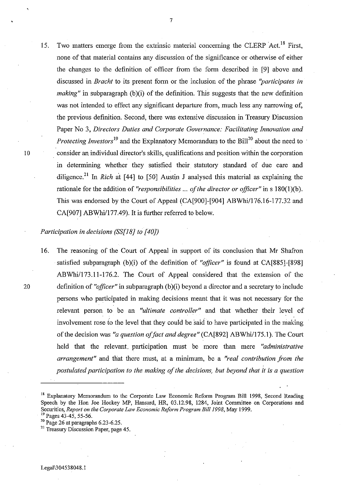15. Two matters emerge from the extrinsic material concerning the CLERP Act.<sup>18</sup> First, none of that material contains any discussion of the significance or otherwise of either the changes to the definition of officer from the form described in [9] above and discussed in *Bracht* to its present form or the inclusion of the phrase *"participates in making*" in subparagraph (b)(i) of the definition. This suggests that the new definition was not intended to effect any significant departure from, much less any narrowing of, the previous definition. Second, there was extensive discussion in Treasury Discussion Paper No 3, *Directors Duties and Corporate Governance: Facilitating Innovation and Protecting Investors*<sup>19</sup> and the Explanatory Memorandum to the Bill<sup>20</sup> about the need to 10 . consider an individual director's skills, qualifications and position within the corporation in determining whether they satisfied their statutory standard of due care and diligence.<sup>21</sup> In *Rich* at [44] to [50] Austin J analysed this material as explaining the rationale for the addition of *"responsibilities* ... *of the director or officer"* in s 180(1)(b). This was endorsed by the Court of Appeal (CA[900]-[904] ABWhi/176.16-177.32 and CA[907] ABWhi/177.49). It is further referred to below.

*Participation in decisions (SS[l8] to [40J)* 

16. The reasoning of the Court of Appeal in support of its conclusion that Mr Shafron satisfied subparagraph (b)(i) of the definition of "officer" is found at CA[885]-[898] ABWhi/173.11-176.2. The Court of Appeal considered that the extension of the 20 definition of "*officer*" in subparagraph (b)(i) beyond a director and a secretary to include persons who participated in making decisions meant that it was not necessary for the relevant person to be an *"ultimate controller"* and that whether their level of involvement rose to the level that they could be said to have participated in the making of the decision was "a question of fact and degree" (CA[892] ABWhi/175.1). The Court held that the relevant. participation must be more than mere *"administrative arrangement"* and that there must, at a minimum, be a *"real contribution from the postulated participation to the making of the decisions, but beyond that it is a question* 

<sup>&</sup>lt;sup>18</sup> Explanatory Memorandum to the Corporate Law Economic Reform Program Bill 1998, Second Reading Speech by the Hon Joe Hockey MP, Hansard, HR, 03.12.98, 1284, Joint Committee on Corporations and Securities, *Report on the Corporate Law Economic Reform Program Bill 1998,* May 1999. <sup>19</sup> Pages 43-45, 55-56.

<sup>20</sup> Page 26 at paragraphs 6.23-6.25.

<sup>&</sup>lt;sup>21</sup> Treasury Discussion Paper, page 45.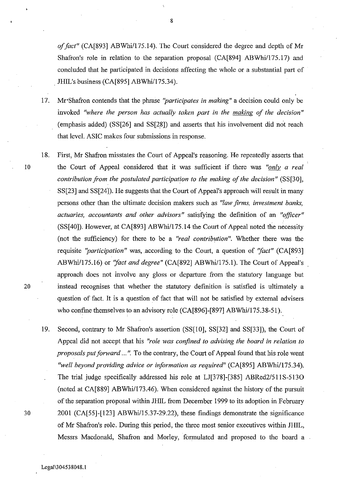*offact"* (CA[893] *ABWhi/175.14).* The Court considered the degree and depth of Mr Shafron's role in relation to the separation proposal (CA[894] *ABWhi/175.17)* and concluded that he participated in decisions affecting the whole or a substantial part of JHIL's business (CA[895] ABWhi/175.34).

- 17. Mr 'Shafron contends that the phrase *"participates in making"* a decision could only be invoked *"where the person has actually taken part in the making of the decision"*  (emphasis added) (SS[26] and SS[28]) and asserts that his involvement did not reach that level. ASIC makes four submissions in response.
- 18. First, Mr Shafron misstates the Court of Appeal's reasoning. He repeatedly asserts that 10 the Court of Appeal considered that it was sufficient if there was *"only a real contribution from the postulated participation to the making of the decision"* (SS[30], SS[23] and SS[24]). He suggests that the Court of Appeal's approach will result in many persons other than the ultimate decision makers such as *"law firms, investment banks, actuaries, accountants and other advisors*" satisfying the definition of an "officer" (SS[40]). However, at CA[893] ABWhi/175.14 the Court of Appeal noted the necessity (not the sufficiency) for there to be a *"real contribution".* Whether there was the requisite *"participation"* was, according to the Court, a question of "fact" (CA[893] ABWhi/175.16) or *"fact and degree"* (CA[892] ABWhil175.l). The Court of Appeal's approach does not involve any gloss or departure from the statutory language but 20 instead recognises that whether the statutory definition is satisfied is ultimately a question of fact. It is a question of fact that will not be satisfied by external advisers who confine themselves to an advisory role (CA[896]-[897] ABWhi/175.38-51).
- 19. Second, contrary to Mr Shafron's assertion (SS[10], SS[32] and SS[33]), the Court of Appeal did not accept that his *"role was confined to advising the board in relation to proposals put forward* ... ". To the contrary, the Court of Appeal found that his role went *"well beyond providing advice or information as required"* (CA[895] ABWhi/175.34). The trial judge specifically addressed his role at LJ[378]-[385] ABRed2/511S-513O (noted at CA[889] ABWhi/173.46). When considered against the history of the pursuit of the separation proposal within JHIL from December 1999 to its adoption in February 30 2001 (CA[55]-[123] ABWhi/15.37-29.22), these findings demonstrate the significance of Mr Shafron's role. During this period, the three most senior executives within JHIL, Messrs Macdonald, Shafron and Morley, formulated and proposed to the board a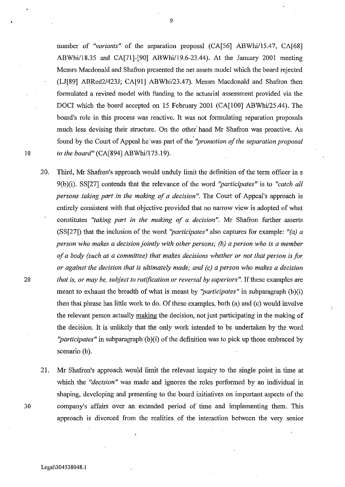number of *"variants"* of the separation proposal (CA[56] ABWhi/15.47, CA[68] ABWhi/18.35 and CA[71]-[90] ABWhi/19.6-23.44). At the January 2001 meeting Messrs Macdonald and Shafron presented the net assets model which the board rejected (LJ[89] *ABRed2/423J;* CA[91] ABWhi/23.47). Messrs Macdonald and Shafron then formulated a revised model with funding to the actuarial assessment provided via the DOCI which the board accepted on 15 February 2001 (CA[100] ABWhi/25.44). The board's role in this process was reactive. It was not formulating separation proposals much less devising their structure. On the other' hand Mr Shafron was proactive. As found by the Court of Appeal he 'was part of the *"promotion of the separation proposal*  10 to the board" (CA[894] ABWhi/175.19).

20. Third, Mr Shafron's approach would unduly limit the definition of the term officer in s 9(b)(i). SS[27] contends that the relevance of the word *"participates"* is to *"catch all persons taking part in the making of a decision".* The Court of Appeal's approach is entirely consistent with that objective provided that no narrow view is adopted of what constitutes *"taking part in the making of a decision".* Mr Shafron further asserts (SS[27]) that the inclusion of the word *"participates"* also captures for example: *"(a) a person who makes a decision jointly with other persons; (b) a person who is a member of a body (such as a committee) that makes decisions whether or not that person is for or against the decision that* is *ultimately made; and (c) a person who makes a decision 20 that* is, *or may be, subject to ratification or reversal by superiors".* If these examples are meant to exhaust the breadth of what is meant by "*participates*" in subparagraph (b)(i) then that phrase has little work to do. Of these examples, both (a) and (c) would involve the relevant person actually making the decision, not just participating in the making of the decision. It is unlikely that the only work intended to be undertaken by the word *"participates"* in subparagraph (b)(i) of the definition was to pick up those embraced by scenario (b).

21. Mr Shafron's approach would limit the relevant inquiry to the single point in time at which the *"decision"* was made and ignores the roles performed by an individual in shaping, developing and presenting to the board initiatives on important aspects of the 30 company's affairs over an extended period of time and implementing them. This approach is divorced from the realities of the interaction between the very senior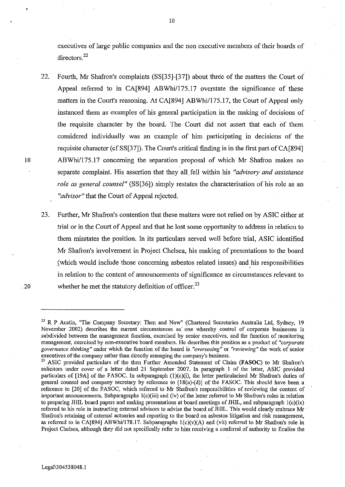executives of large public companies and the non executive members of their boards of directors.<sup>22</sup>

- 22. Fourth, Mr Shafron's complaints (SS[35]-[37]) about three of the matters the Court of Appeal referred to in CA[894] ABWhi/175.17 overstate the significance of these matters in the Court's reasoning. At CA[894] ABWhi/175.17, the Court of Appeal only instanced them as examples of his general participation in the making of decisions of the requisite character by the board. The Court did not assert that each of them considered individually was an example of him participating in decisions of the requisite character (cf SS[37]). The Court's critical finding is in the first part of CA[894] 10 ABWhi/175.17 concerning the separation proposal of which Mr Shafron makes no separate complaint. His assertion that they all fell within his *"advisory and assistance role as general counsel"* (SS[36]) simply restates the characterisation of his role as an *"advisor"* that the Court of Appeal rejected.
- 23. Further, Mr Shafron's contention that these matters were not relied on by ASIC either at trial or in the Court of Appeal and that he lost some opportunity to address in relation to them misstates the position. In its particulars served well before trial, ASIC identified Mr Shafron's involvement in Project Chelsea, his making of presentations to the board (which would incfude those concerning asbestos related issues) and his responsibilities in relation to the content of announcements of significance as circumstances relevant to .20 whether he met the statutory definition of officer.<sup>23</sup>

<sup>&</sup>lt;sup>22</sup> R P Austin, "The Company Secretary: Then and Now" (Chartered Secretaries Australia Ltd, Sydney, 19 November 2002) describes the current circumstances as one whereby control of corporate businesses is **subdivided between the management function, exercised by senior executives, and the function of monitoring management, exercised by non-executive board members. He describes this position as a product of** *"corporate governance thinking"* **under which the function of the board is \_** *"overseeing"* **or** *"reviewing"* **the work of senior**  executives of the company rather than directly managing the company's business.

ASIC provided particulars of the then Further Amended Statement of Claim (FASOC) to Mr Shafron's solicitors under cover of a letter dated 21 September 2007. In paragraph I of the letter, ASIC provided particulars of [19A] of the FASOC. In subparagraph (1)(c)(i), the letter particularised Mr Shafron's duties of general counsel and company secretary by reference to [18(a)-(d)] of the FASOC. This should have been a reference to [20] of the FASOC, which referred to Mr Shafron's responsibilities of reviewing the content of important announcements. Subparagraphs I(c)(iii) and (iv) of the letter referred to Mr Shafron's roles in relation to preparing JHIL board papers and making presentations at board meetings of JHIL, and subparagraph I(c)(ix) referred to his role in instructing external advisors to advise the board of JHIL. This would clearly embrace Mr . Shafron's retaining of external actuaries and reporting to the board on asbestos litigation and risk management, as referred to in CA[894] ABWhi/178.17. Subparagraphs  $1(c)(v)(A)$  and (vii) referred to Mr Shafron's role in Project Chelsea, although they did not specifically refer to him receiving a conferral of authority to fmalise the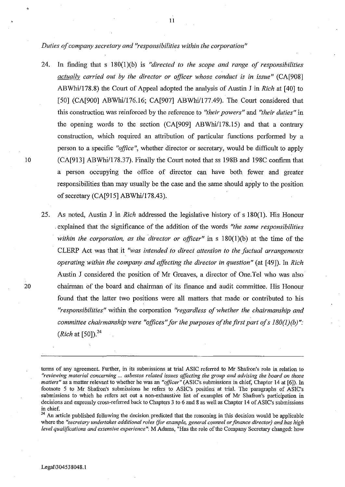*Duties of company secretary and "responsibilities within the corporation"* 

- 24. In finding that s IS0(1 )(b) is *"directed to the scope and range of responsibilities actually carried out by the director or officer whose conduct is in issue"* (CA[90S] ABWhi/178.8) the Court of Appeal adopted the analysis of Austin J in *Rich* at [40] to [50] (CA[900] ABWhi/176.16; CA[907] ABWhi/177.49). The Court considered that this construction was reinforced by the reference to *"their powers"* and *"their duties"* in the opening words to the section (CA[909] ABWhi/17S.15) and that a contrary construction, which required an attribution of particular functions performed by a person to a specific *"office",* whether director or secretary, would be difficult to apply 10 (CA[913] ABWhi/178.37). Finally the Court noted that ss 198B and 198C confirm that a person occupying the office of director can have both fewer and greater responsibilities than may usually be the case and the same should apply to the position of secretary  $(CA[915] ABWhi/178.43)$ .
- 25. As noted, Austin J in *Rich* addressed the legislative history of s IS0(1). His Honour . explained that the significance of the addition of the words *"the same responsibilities within the corporation, as the director or officer"* in s IS0(1)(b) at the time of the CLERP Act was that it *"was intended to direct attention to the factual arrangements operating within the company and affecting the director in question"* (at [49]). In *Rich*  Austin J considered the position of Mr Greaves, a director of One. Tel who was also 20 chairman of the board and chairman of its finance and audit committee. His Honour found that the latter two positions were all matters that made or contributed to his *"responsibilities"* within the corporation *"regardless of whether the chairmanship and committee chairmanship were "offices" for the purposes of the first part of s 180(1)(b)"*: *(Rich at [50]).*<sup>24</sup>

 $24$  An article published following the decision predicted that the reasoning in this decision would be applicable where the *"secretary undertakes additional roles (for example, general counsel or finance director) and has high level qualifications and extensive experience":* M Adams, "Has the role ofthe Company Secretary changed: how

,

terms of any agreement. Further, in its submissions at trial ASIC referred to Mr Shafron's role in relation to *"reviewing material concerning* **...** *asbestos related issues affecting the group and advising the board on those matters"* as a matter relevant to whether he was an *"officer"* (ASIC's submissions in chief, Chapter 14 at [6]). In footnote 5 to Mr Shafron's submissions he refers to ASIC's position at trial. The paragraphs of ASIC's submissions to which he refers set out a non-exhaustive list of examples of Mr Shafron's participation in decisions and expressly cross-referred back to Chapters 3 to 6 and 8 as well as Chapter 14 of ASIC's submissions in chief.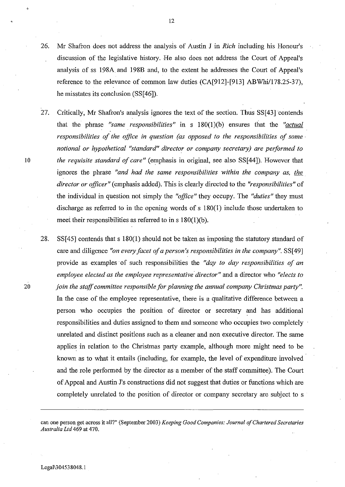- 26. Mr Shafron does not address the analysis of Austin J in *Rich* including his Honour's discussion of the legislative history. He also does not address the Court of Appeal's analysis of ss 198A and 198B and, to the extent he addresses the Court of Appeal's reference to the relevance of common law duties  $(CA[912]-[913] ABWhi/178.25-37)$ , he misstates its conclusion (SS[46]).
- 27. Critically, Mr Shafron's analysis ignores the text of the section. Thus SS[43] contends that the phrase *"same responsibilities"* in s 180(1)(b) ensures that the *"actual responsibilities of the office in question (as opposed to the responsibilities of some' notional or hypothetical "standard" director or company secretary) are performed to 10 the requisite standard of care"* (emphasis in original, see also SS[44]). However that ignores the phrase *"and had the same responsibilities within the company as, the director or officer"* (emphasis added). This is clearly directed to the *"responsibilities"* of the individual in question not simply the *"office"* they occupy. The *"duties"* they must discharge as referred to in the opening words of s 180(1) include those undertaken to meet their responsibilities as referred to in s 180(1)(b).
- 28. SS[45] contends that s 180(1) should not be taken as imposing the statutory standard of care and diligence *"on every facet of a person's responsibilities in the company".* SS[49] provide as examples of such responsibilities the *"day to day responsibilities of an employee elected as the employee representative'director"* and a director who *"elects to 20 join the staff committee responsible for planning the annual company Christmas party".*  In the case of the employee representative, there is a qualitative difference between a person who occupies the position of director or secretary and has additional responsibilities and duties assigned to them and someone who occupies two completely unrelated and distinct positions such as a cleaner and non executive director. The same applies in relation to the Christmas party example, although more might need to be known as to what it entails (including, for example, the level of expenditure involved and the role performed by the director as a member of the staff committee). The Court of Appeal and Austin J's constructions did not suggest that duties or functions which are completely unrelated to the position of director or company secretary are subject to s

12

Legal\304538048.1

can one person get across it all?" (September 2003) *Keeping Good Companies: Journal of Chartered Secretaries Australia Ltd* 469 at 470.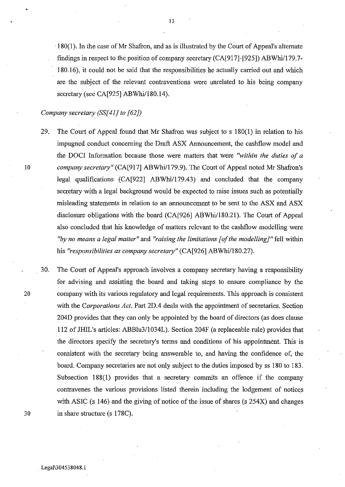·180(1). In the case ofMr Shafron, and as is illustrated by the Court of Appeal's alternate findings in respect to the position of company secretary (CA[917]-[925]) ABWhi/179.7- 180.16), it could not be said that the responsibilities he actually carried out and which are the subject of the relevant contraventions were unrelated to his being company secretary (see CA[925] ABWhi/180.14).

## *Company secretary (SS[41) to* [62])

29. The Court of Appeal found that Mr Shafron was subject to s 180(1) in relation to his impugned conduct concerning the Draft ASX Announcement, the cashflow model and the DOCI Information because those were matters that were *"within the duties of a*  10 *company secretary"* (CA[917] ABWhi/179.9). The Court of Appeal noted Mr Shafron's legal qualifications  $(CA[922] ABWhi/179.43)$  and concluded that the company secretary with a legal background would be expected to raise issues such as potentially misleading statements in relation to an armouncement to be sent to the ASX and ASX disclosure obligations with the board (CA[926] ABWhi/180.21). The Court of Appeal also concluded that his knowledge of matters relevant to the cashflow modelling were *"by no means a legal matter"* and *"raising the limitations [of the modelling)"* fell within his *"responsibilities as company secretary"* (CA[926] ABWhi/180.27).

30. The Court of Appeal's approach involves. a company secretary having a responsibility for advising and assisting the board and taking steps to ensure compliance by the 20 company with its various regulatory and legal requirements. This approach is consistent with the *Corporations Act.* Part 2D.4 deals with the appointment of secretaries. Section 204D provides that they can only be appointed by the board of directors (as does clause 112 of lHIL's articles: ABBlu311034L). Section 204F (a replaceable rule) provides that the directors specify the secretary's terms and conditions of his appointment. This is consistent with the secretary being answerable to, and having the confidence of, the board. Company secretaries are not only subject to the duties imposed by ss 180 to 183. Subsection 188(1) provides that a secretary commits an offence if the company contravenes the various provisions listed therein including the lodgement of notices with ASIC (s 146) and the giving of notice of the issue of shares (s 254X) and changes 30 in share structure (s 178C) .

•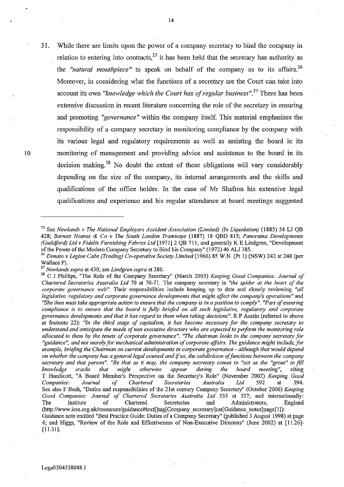31. While there are limits upon the power of a company secretary to bind the company in relation to entering into contracts,  $2<sup>5</sup>$  it has been held that the secretary has authority as the *"natural mouthpiece"* to speak on behalf of the company as to its affairs.<sup>26</sup> Moreover, in considering what the functions of a secretary are the Court can take into account its own *"knowledge which the Court has of regular business"*.<sup>27</sup> There has been extensive discussion in recent literature concerning the role of the secretary in ensuring and promoting *"governance"* within the company itself. This material emphasises the responsibility of a company secretary in monitoring compliance by the company with its various legal and regulatory requirements as well as assisting the board in its monitoring of management and providing advice and assistance to the board in its decision making.<sup>28</sup> No doubt the extent of these obligations will vary considerably depending on the size of the company, its internal arrangements and the skills and qualifications of the office holder. In the case of Mr Shafron his extensive legal qualifications and experience and his regular attendance at board meetings suggested

<sup>25</sup> See *Newlands* v *The National Employers Accident Association (Limited) (In Liquidation)* (1885) 54 LJ QB *428; Barnett Hoares* & *Co* v *The South London Tramways* (1887) 18 QBD 815; *Panorama Developments (Guildford) Ltd* v *Fidelis Furnishing Fabrics Ltd* [1971]2 QB 711; and generally K E Lindgren, "Development of the Power of the Modem Company Secretary to Bind his Company" (1972) 46 ALJ 385.

*<sup>26</sup> Donato* v *Legion Cabs (Trading) Co-operative Society Limited* (1966) 85 W.N. (Pt I) (NSW) 242 at 248 (per Wallace P).

<sup>27</sup>*Newlands supra* at 430; see *Lindgren supra* at 386.

<sup>28</sup> C J Phillips, "The Role of the Company Secretary" (March 2003) *Keeping Good Companies: Journal of Chartered Secretaries Australia Ltd* 70 at 70-71. The company secretary is *"the spider at the heart of the corporate governance web",* **Their responsibilities include keeping up to date and closely reviewing** *"all legislative, regulatory and corporate governance developments that might affect the company's operations"* **and**  *"She then must take appropriate action to ensure that the company is in a position to comply". "Part of ensuring compliance is to ensure that the board is fully briefed on all such legislative, regulatory and corporate governance developments and that it has regard to them when taking decisions".* **R P Austin (referred to above**  at footnote 22): *"In the third stage of capitalism, it has become necessary for the company secretary to understand and anticipate the needs of non executive directors who are expected to perform the monitoring role allocated to them by the tenets of corporate governance". "The chairman looks to the company secretary for "guidance", and not merely for mechanical administration of corporate affairs. The guidance might include, for example, briefing the Chairman on current developments in corporate governance - although that would depend on whether the company has a general legal counsel and* if *so. the subdivision of functions between the company secretary and that person". "Be that as it may, the company secretary comes to "act as the "grout" to fill knowledge cracks that might. othetwise appear during the board meeting",* **citing**  T Handicott, "A Board Member's Perspective on the Secretary's Role" (November 2002) *Keeping Good Companies: Journal of Chartered Secretaries Australia Ltd* 592 at 594. See also F Bush, "Duties and responsibilities of the 21st century Company Secretary" (October 2006) *Keeping*  Good Companies: Journal of Chartered Secretaries Australia Ltd 535 at 537; and internationally:<br>The Institute of Chartered Secretaries and Administrators, England Administrators, England (http://www.icsa.org.uk/resources/guidance#iext[]tag[Company\_secretary]cat[ Guidance\_notes ]page[1]): Gnidance note entitled "Best Practice Guide: Duties of a Company Secretary" (published 3 August 1998) at page 4; and Higgs, "Review of the Role and Effectiveness of Non-Executive Directors" (June 2002) at [11.26]-

<sup>[11.31].</sup>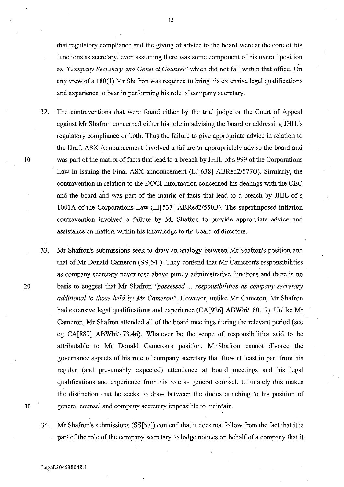that regulatory compliance and the giving of advice to the board were at the core of his functions as secretary, even assuming there was some component of his overall position as *"Company Secretary and General Counsel"* which did not fall within that office. On any view of s 180(1) Mr Shafron was required to bring his extensive legal qualifications and experience to bear in performing his role of company secretary.

- 32. The contraventions that were found either by the trial judge or the Court of Appeal against Mr Shafron concerned either his role in advising the board or addressing JHIL's regulatory compliance or both. Thus the failure to give appropriate advice in relation to the Draft ASX Announcement involved a failure to appropriately advise the board and 10 was part of the matrix of facts that lead to a breach by JHIL of s 999 of the Corporations Law in issuing the Final ASX announcement (LJ[638] ABRed2/5770). Similarly, the contravention in relation to the DOCI Information concerned his dealings with the CEO and the board and was part of the matrix of facts that lead to a breach by JHIL of s 1001A of the Corporations Law (LJ[537] ABRed2/550B). The superimposed inflation contravention involved a failure by Mr Shafron to provide appropriate advice and assistance on matters within his knowledge to the board of directors.
- 33. Mr Shafron's submissions seek to draw an analogy between Mr Shafron's position and that of Mr Donald Cameron (SS $[54]$ ). They contend that Mr Cameron's responsibilities as company secretary never rose above purely administrative functions and there is no 20 basis to suggest that Mr Shafron *''possessed* ... *responsibilities as company secretary additional to those held by Mr Cameron".* However, unlike Mr Cameron, Mr Shafron had extensive legal qualifications and experience (CA[926] ABWhi/180.17). Unlike Mr Cameron, Mr Shafron attended all of the board meetings during the relevant period (see eg CA[889] ABWhi/173.46). Whatever be the scope of responsibilities said to be attributable to Mr Donald Cameron's position, Mr Shafron cannot divorce the governance aspects of his role of company secretary that flow at least in part from his regular (and presumably expected) attendance at board meetings and his legal qualifications and experience from his role as general counsel. Ultimately this makes the distinction that he seeks to draw between the duties attaching to his position of 30 general counsel and company secretary impossible to maintain.
	- 34. Mr Shafron's submissions (SS[57]) contend that it does not follow from the fact that it is part of the role of the company secretary to lodge notices on behalf of a company that it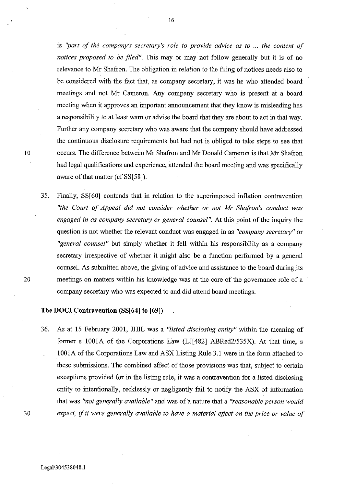is *"part of the company's secretary's role to provide advice as to* ... *the content of notices proposed to be filed"*. This may or may not follow generally but it is of no relevance to Mr Shafron. The obligation in relation to the filing of notices needs also to be considered with the fact that, as company secretary, it was he who attended board meetings and not Mr Cameron. Any company secretary who is present at a board meeting when it approves an important announcement that they know is misleading has a responsibility to at least warn or advise the board that they are about to act in that way. Further any company secretary who was aware that the company should have addressed the continuous disclosure requirements but had not is obliged to take steps to see that 10 occurs. The difference between Mr Shafron and Mr Donald Cameron is that Mr Shafron had legal qualifications and experience, attended the board meeting and was specifically aware of that matter (cf SS[58]).

35. Finally, SS[60] contends that in relation to the superimposed inflation contravention *"the Court of Appeal did not consider whether or not Mr Shafron's conduct was engaged in as company secretary or general counsel".* At this point of the inquiry the question is not whether the relevant conduct was engaged in as *"company secretary"* or *"general counsel"* but simply whether it fell within his responsibility as a company secretary irrespective of whether it might also be a function performed by a general counsel. As submitted above, the giving of advice and assistance to the board during its 20 meetings on matters within his knowledge was at the core of the governance role of a company secretary who was expected to and did attend board meetings.

## **The DOCI Contravention (SS[64] to [69])**

36. As at 15 February 2001, JHIL was a *"listed disclosing entity"* within the meaning of former s 1001A of the Corporations Law (LJ[482] ABRed2/535X). At that time, s 1001A of the Corporations Law and ASX Listing Rule 3.1 were in the form attached to these submissions. The combined effect of those provisions was that, subject to certain exceptions provided for in the listing rule, it was a contravention for a listed disclosing entity to intentionally, recklessly or negligently fail to notify the ASX of information that was *"not generally available"* and was of a nature that a *"reasonable person would 30 expect,* if *it Were generally available to have a material effect on the price or value of*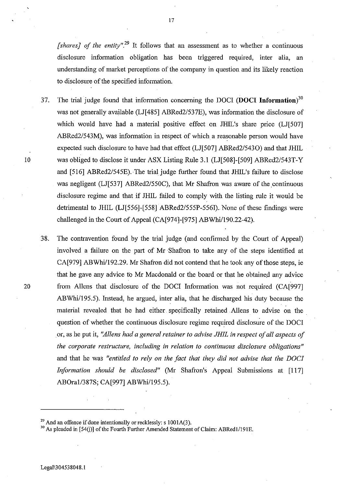*[shares] of the entity".29* It follows that an assessment as to whether a continuous disclosure information obligation has been triggered required, inter alia, an understanding of market perceptions of the company in question and its likely reaction to disclosure of the specified information.

- 37. The trial judge found that information concerning the DOCI **(DOCI Information)30**  was not generally available (LJ[485] *ABRed2/537E),* was information the disclosure of which would have had a material positive effect on JHIL's share price (LJ[507] ABRed2/543M), was information in respect of which a reasonable person would have expected such disclosure to have had that effect (LJ[507] *ABRed2/5430)* and that JHIL 10 was obliged to disclose it under ASX Listing Rule 3.1 (LJ[508]-[509] *ABRed2/543T-Y*  and [516] *ABRed2/545E).* The trial judge further found that JHIL's failure to disclose was negligent (LJ[537] ABRed2/550C), that Mr Shafron was aware of the continuous disclosure regime and that if JHIL failed to comply with the listing rule it would be detrimental to JHIL (LJ[556]-[558] ABRed2/555P-556I). None of these findings were challenged in the Court of Appeal (CA[974]-[975] ABWhi/190.22-42).
- 38. The contravention found by the trial judge (and confirmed by the Court of Appeal) involved a failure on the part of Mr Shafron to take any of the steps identified at CA[979] *ABWhi/l92.29.* Mr Shafron did not contend that he took any of those steps, ie that he gave any advice to Mr Macdonald or the board or that he obtained any advice 20 from Allens that disclosure of the DOCr Information was not required (CA[997] ABWhi/195.5). Instead, he argued, inter alia, that he discharged his duty because the material revealed that he had either. specifically retained Aliens to advise on the. question of whether the continuous disclosure regime required disclosure of the DOCI . or, as he put it, *"Allens had a general retainer to advise JHIL in respect of all aspects of the corporate restructure, including in relation to continuous disclosure obligations"*  and that he was *"entitled to rely on the fact that they did not advise that the DOCI Information should be disclosed"* (Mr Shafron's Appeal Submissions at [117] ABOra1/387S; CA[997] ABWhi/195.5).

 $^{29}$  And an offence if done intentionally or recklessly: s 1001A(3).

<sup>&</sup>lt;sup>30</sup> As pleaded in [54(j)] of the Fourth Further Amended Statement of Claim: ABRed1/191E.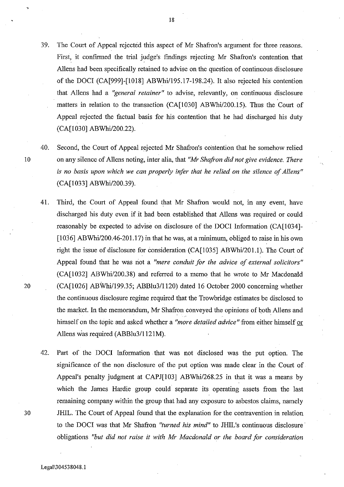- 39. The Court of Appeal rejected this aspect of Mr Shafron's argument for three reasons. First, it confinued the trial judge's findings rejecting Mr Shafron's contention that AlIens had been specifically retained to advise on the question of continuous disclosure of the DOCI (CA[999]-[1018] ABWhi/195.17-198.24). It also rejected his contention that Allens had a *"general retainer"* to advise, relevantly, on continuous disclosure matters in relation to the transaction (CA[1030] ABWhi/200.l5). Thus the Court of Appeal rejected the factual basis for his contention that he had discharged his duty (CA[1030] *ABWhi/200.22).*
- 40. Second, the Court of Appeal rejected Mr Shafron's contention that he somehow relied lOon any silence of Allens noting, inter alia, that *"Mr Shafron did not give evidence. There*  is *no basis upon which we can properly infer that he relied on the silence of Allens"*  (CA[1033] ABWhi/200.39).
- 41. Third, the Court of Appeal found that Mr Shafron would not, in any event, have discharged his duty even if it had been established that Allens was required or could reasonably be expected to advise on disclosure of the DOCI Information (CA[1034]- [1036] ABWhi/200.46-201.17) in that he was, at a minimum, obliged to raise in his own right the issue of disclosure for consideration (CA[1035] ABWhi/201.1). The Court of Appeal found that he was not a *"mere conduit for the advice of external solicitors"* (CA[1032] *ABWhi/200.38)* and referred to a memo that he wrote to Mr Macdonald 20 (CA[1026] ABWhi/199.35; *ABBlu3/1120)* dated 16 October 2000 concerning whether the continuous disclosure regime required that the Trowbridge estimates be disclosed to the market. In the memorandum, Mr Shafron conveyed the opinions of both Allens and himself on the topic and asked whether a *"more detailed advice* "from either himself or Allens was required (ABBlu3/1121M).
- 42. Part of the DOCI Information, that was not disclosed was the put option. The significance of the non disclosure of the put option was made clear in the Court of Appeal's penalty judgment at CAPJ[103] *ABWhi/268.25* in that it was a means by which the James Hardie group could separate its operating assets from the last remaining company within the group that had any exposure to asbestos claims, namely 30 JHIL. The Court of Appeal found that the explanation for the contravention in relation to the DOCI was that Mr Shafron *"turned his mind"* to JHIL's continuous disclosure' obligations *"but did not raise* it *with Mr Macdonald or the board for consideration*

18

Legai\304538048,]

"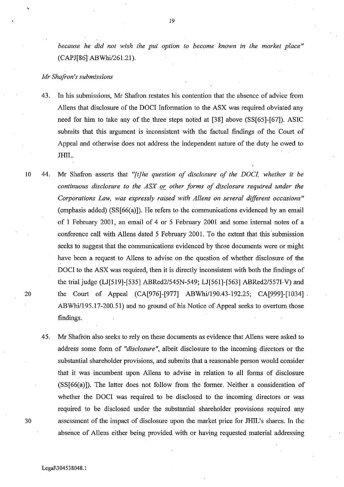*because he did not wish the put option to become known in the market place"*  (CAPJ[86] ABWhi/261.21).

### *Mr Shafron's submissions*

,

- 43. In his submissions, Mr Shafron restates his contention that the absence of advice from AlIens that disclosure of the DOCI Information to the ASX was required obviated any need for him to take any of the three steps noted at [38] above (SS[65]-[67]). ASIC submits that this argument is inconsistent with the factual findings of the Court of Appeal and otherwise does not address the independent nature of the duty he owed to JHIL.
- 10 44. Mr Shafron asserts that "[t]he question of disclosure of the DOCI, whether it be *continuous disclosure to the ASX or other forms of disclosure required under the Corporations Law, was expressly raised with Allens on several different occasions"*  (emphasis added) (SS[66(a)]). He refers to the communications evidenced by an email of 1 February 2001, an email of 4 or 5 February 2001 arid some internal notes of a conference call with AlIens dated 5 February 2001. To the extent that this submission seeks to suggest that the communications evidenced by those documents were or might have been a request to AlIens to advise on the question of whether disclosure of the DOCI to the ASX was required, then it is directly inconsistent with both the findings of the trial judge (LJ[519]-[535] *ABRed2/545N-549;* LJ[561]-[563] ABRed2/557I-V) and 20 the Court of Appeal (CA[976]-[977] ABWhi/190.43-192.25; CA[999]-[1034] *ABWhi/195.l7-200.51)* and no ground of his Notice of Appeal seeks to overturn those findings.
- 45. Mr Shafron also seeks to rely on these documents as evidence that Aliens were asked to address some form of *"disclosure* ", albeit disclosure to the incoming directors or the substantial shareholder provisions, and submits that a reasonable person would consider that it was incumbent upon Aliens to advise in relation to all forms of disclosure (SS[66(a)]). The latter does not follow from the former. Neither a consideration of whether the DOCI was required to be disclosed to the incoming directors or was required to be disclosed under the substantial shareholder provisions required any 30 assessment of the impact of disclosure upon the market price for JHIL's shares. In the absence of AlIens either being provided with or having requested material addressing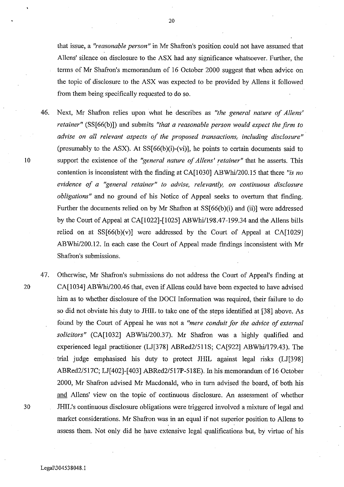that issue, a *"reasonable person"* in Mr Shafron's position could not have assumed that Allens' silence on disclosure to the ASX had any significance whatsoever. Further, the tenns of Mr Shafron's memorandum of 16 October 2000 suggest that when advice on the topic of disclosure to the ASX was expected to be provided by Allens it followed from them being specifically requested to do so.

- 46. Next, Mr Shafron relies upon what he describes as *"the general nature of Allens' retainer"* (SS[66(b)]) and submits *"that a reasonable person would expect the firm to advise on all relevant aspects of the proposed transactions, including disclosure"*  (presumably to the ASX). At  $SS[66(b)(i)-(vi)]$ , he points to certain documents said to 10 support the existence of the *"general nature of Allens' retainer"* that he asserts. This contention is inconsistent with the finding at CA[1030] ABWhi/200.15 that there "is no *evidence of a "general retainer" to advise, relevantly, on continuous disclosure obligations"* and no ground of his Notice of Appeal seeks to overturn that finding. Further the documents relied on by Mr Shafron at SS[66(b)(i) and (ii)] were addressed by the Court of Appeal at CA[1022]-[1025] *ABWhi/198.47-199.34* and the Allens bills relied on at  $SS[66(b)(v)]$  were addressed by the Court of Appeal at CA $[1029]$ ABWhi/200.12. In each case the Court of Appeal made findings inconsistent with Mr Shafron's submissions.
- 47. Otherwise, Mr Shafron's submissions do not address the Court of Appeal's finding at 20 CA[1034] ABWhi/200.46 that, even if Allens could have been expected to have advised him as to whether disclosure of the DOCI Information was required, their failure to do so did not obviate his duty to JHIL to take one of the steps identified at [38] above. As foimd by the Court of Appeal he was not a *"mere conduit for the advice of external solicitors"* (CA[1032] *ABWhi/200.37).* Mr Shafron was a highly qualified and experienced legal practitioner (LJ[378] ABRed2/511S; CA[922] ABWhi/179.43). The trial judge emphasised his duty to protect JHIL against legal risks (LJ[398] ABRed2/517C; LJ[402]-[403] *ABRed2/517P-518E).* In his memorandum of 16 October 2000, Mr Shafron advised Mr Macdonald, who in turn advised the board, of both his and Allens' view on the topic of continuous disclosure. An assessment of whether 30 JHIL's continuous disclosure obligations were triggered involved a mixture of legal and market considerations. Mr Shafron was in an equal if not superior position to Allens to assess them. Not only did he have extensive legal qualifications but, by virtue of his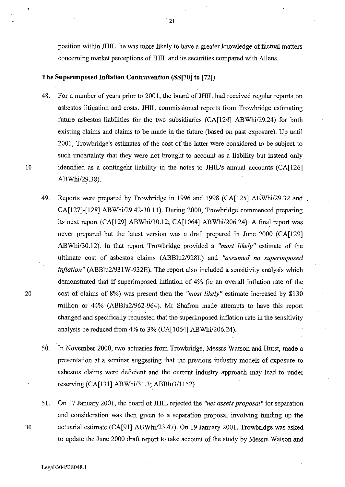position within JHIL, he was more likely to have a greater knowledge of factual matters concerning market perceptions of JHIL and its securities compared with Allens.

### **The Superimposed Iuflation Contravention (SS[70] to [72])**

- 48. For a number of years prior to 2001, the board of JHIL had received regular reports on asbestos litigation and costs. JHIL commissioned reports from Trowbridge estimating future asbestos liabilities for the two subsidiaries (CA[124] ABWhi/29.24) for both existing claims and claims to be made in the future (based on past exposure). Up until 2001, Trowbridge's estimates of the cost of the latter were considered to be subject to such uncertainty that they were not brought to account as a liability but instead only 10 identified as a contingent liability in the notes to JHIL's annual accounts (CA[126] *ABWhi/29.38).*
- 49. Reports were prepared by Trowbridge in 1996 and 1998 (CA[12S] *ABWhi/29.32* and CA[127]-[128] ABWhi/29.42-30.11). During 2000, Trowbridge commenced preparing its next report (CA[129] ABWhi/30.12; CA[1064] ABWhi/206.24). A final report was never prepared but the latest version was a draft prepared in June 2000 (CA[129] *ABWhi/30.12).* In that report Trowbridge provided a *"most likely"* estimate of the ultimate cost of asbestos claims *(ABBlu2/928L)* and *"assumed no superimposed inflation" (ABBlu2/931* W-932E). The report also included a sensitivity analysis which demonstrated that if superimposed inflation of 4% (ie an overall inflation rate of the 20 cost of claims of 8%) was present then the *"most likely"* estimate increased by \$130 million or 44% *(ABBlu2/962-964).* Mr Shafron made attempts to have this report changed and specifically requested that the superimposed inflation rate in the sensitivity analysis be reduced from 4% to 3% (CA[1064] ABWhi/206.24).
	- SO. In November 2000, two actuaries from Trowbridge, Messrs Watson and Hurst, made a presentation at a seminar suggesting that the previous industry models of exposure to asbestos' claims were deficient and the current industry approach may lead to under reserving (CA[131] *ABWhi/31.3;* ABBlu3/1lS2).
- S1. On 17 January 2001, the board of JHIL rejected the *"net assets proposal"* for separation and consideration was then given to a separation proposal involving funding up the 30 actuarial estimate (CA[91] ABWhi/23.47). On 19 January 2001, Trowbridge was asked to update the June 2000 draft report to take account of the study by Messrs Watson and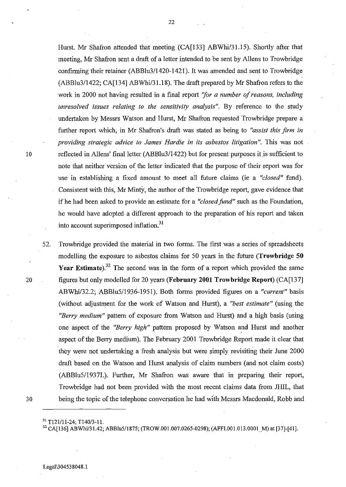Hurst. Mr Shafron attended that meeting (CA[133] ABWhi/31.15). Shortly after that meeting, Mr Shafron sent a draft of a letter intended to be sent by Aliens to Trowbridge confirming their retainer (ABBlu3/1420-1421). It was amended and sent to Trowbridge (ABBlu3/1422; CA[134] ABWhi/31.lS). The draft prepared by Mr Shafron refers to the work in 2000 not having resulted in a final report *"for a number of reasons, including unresolved issues relating to the sensitivity analysis".* By reference to the study undertaken by Messrs Watson and Hurst, Mr Shafron requested Trowbridge prepare a further report which, in Mr Shafron's draft was stated as being to *"assist this firm in providing strategic advice to James Hardie in its asbestos litigation* ". This was not 10 reflected in Allens' final letter (ABBlu3/1422) but for present purposes it is sufficient to note that neither version of the letter indicated that the purpose of their· report was for use in establishing a fixed amount to meet all future claims (ie a *"closed"* fund). Consistent with this, Mr Minty, the author of the Trowbridge report, gave evidence that if he had been asked to provide an estimate for a *"closed fund"* such as the Foundation, he would have adopted a different approach to the preparation of his report and taken into account superimposed inflation.<sup>31</sup>

S2. Trowbridge provided the material in two forms. The first was a series of spreadsheets modelling the exposure to asbestos claims for SO years in the future **{Trowbridge 50**  Year Estimate).<sup>32</sup> The second was in the form of a report which provided the same 20 figures but only modelled for 20 years **(February 2001 Trowbridge Report)** (CA[137] *ABWhil32.2;* ABBIuS/1936-19S1). Both forms provided figures on a *"current"* basis (without adjustment for the work of Watson and Hurst), a *"best estimate"* (using the *"Berry medium"* pattern of exposure from Watson and Hurst) and a high basis (using one aspect of the *"Berry high"* pattern proposed by Watson and Hurst and another aspect of the Berry medium). The February 2001 Trowbridge Report made it clear that they were not undertaking a fresh analysis but were simply revisiting their June 2000 draft based on the Watson and Hurst analysis of claim numbers (and not claim costs) (ABBluS/1937L). Further, Mr Shafron was aware that in preparing their report, Trowbridge had not been provided with the most recent claims data from JHIL, that 30 being the topic of the telephone conversation he had with Messrs Macdonald, Robb and

<sup>&</sup>lt;sup>31</sup> T<sub>121</sub>/11-24; T<sub>140</sub>/3-11.

<sup>&</sup>lt;sup>32</sup> CA[136] ABWhi/31.42; ABBlu5/1875; (TROW.001.007.0265-0298); (AFFI.001.013.0001 M) at [37]-[41].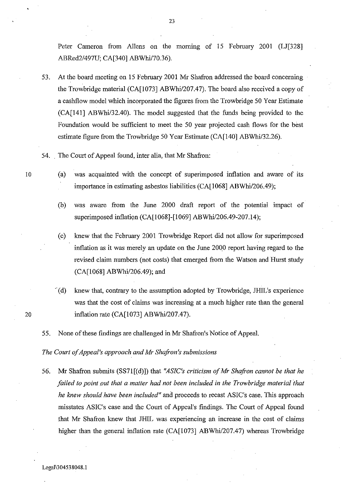Peter Cameron from Allens on the morning of 15 February 2001 (LJ[328] ABRed2/497U; CA[340] ABWhi/70.36).

53. At the board meeting on 15 February 2001 Mr Shafron addressed the board concerning the Trowbridge material (CA[1073] ABWhil207.47). The board also received a copy of a cashflow model which incorporated the figures from the Trowbridge 50 Year Estimate (CA[141] ABWhi/32.40). The model suggested that the funds being provided to the Foundation would be sufficient to meet the 50 year projected cash flows for the best estimate figure from the Trowbridge 50 Year Estimate (CA[140] ABWhi/32.26).

54. , The Court of Appeal found, inter alia, that Mr Shafron:

- 10 (a) was acquainted with the concept of superimposed inflation and aware of its importance in estimating asbestos liabilities (CA[1068] ABWhi/206.49);
	- (b) was aware from the June 2000 draft report of the potential impact of superimposed inflation (CA[1068]-[1069] ABWhi/206.49-207.14);

(c) knew that the February 2001 Trowbridge Report did not allow for superimposed inflation as it was merely an update on the June 2000 report having regard to the revised claim numbers (not costs) that emerged from the Watson and Hurst study (CA[1068] ABWhi/206.49); and

- "(d) knew that, contrary to the assumption adopted by Trowbridge, JHIL's experience was that the cost of claims was increasing at a much higher rate than the general 20 inflation rate (CA[1073] ABWhi/207.47).
	- 55. None of these findings are challenged in Mr Shafron's Notice of Appeal.

*The Court of Appeal's approach and Mr Shafran's submissions* 

56. Mr Shafron submits (SS71[(d)]) that "ASIC's criticism of Mr Shafron cannot be that he *failed to point out that a matter had not been included in the Trowbridge material that he knew should have been included"* and proceeds to recast ASIC's case. This approach misstates ASIC's case and the Court of Appeal's findings. The Court of Appeal found that Mr Shafron knew that JHIL was experiencing an increase in the cost of claims higher than the general inflation rate (CA[1073] ABWhi/207.47) whereas Trowbridge

23

Legal\304538048.1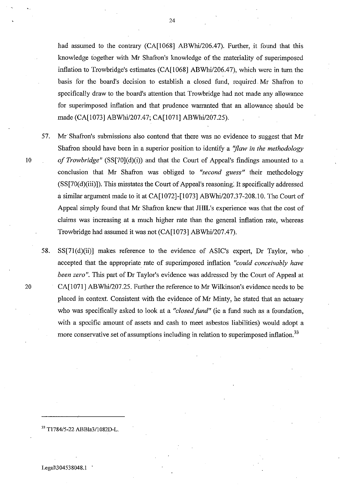had assumed to the contrary (CA[1068] ABWhi/206.47). Further, it found that this knowledge together with Mr Shafron's knowledge of the materiality of superimposed inflation to Trowbridge's estimates  $(CA[1068] ABWhi/206.47)$ , which were in turn the basis for the board's decision to establish a closed fund, required. Mr Shafron to specifically draw to the board's attention that Trowbridge had not made any allowance for superimposed inflation and that prudence warranted that an allowance should be made (CA[1073] ABWhil207.47; CA[I071] ABWhi/207.25).

- 57. Mr· Shafron's submissions also contend that there was no evidence to suggest that Mr Shafron should have been in a superior position to identify a *"flaw in the methodology* 10 of Trowbridge" (SS[70](d)(i)) and that the Court of Appeal's findings amounted to a conclusion that Mr Shafron was obliged to *"second guess"* their methodology  $(SS[70(d)(iii)])$ . This misstates the Court of Appeal's reasoning. It specifically addressed a similar argument made to it at CA[I072]-[I073] ABWhil207.37-208.10. The Court of Appeal simply found that Mr Shafron knew that JHIL's experience was that the cost of claims was increasing at a much higher rate than the general inflation rate, whereas Trowbridge had assumed it was not (CA[I073] ABWhi/207.47).
- 58. SS[71(d)(ii)] makes reference to the evidence of ASIC's expert, Dr Taylor, who accepted that the appropriate rate of superimposed inflation *"could conceivably have been zero".* This part of Dr Taylor's evidence was addressed by the Court of Appeal at 20 CA[1071] ABWhi/207.25. Further the reference to Mr Wilkinson's evidence needs to be placed in context. Consistent with the evidence of.Mr Minty, he stated that an actuary who was specifically asked to look at a *"closed fund"* (ie a fund such as a foundation, with a specific amount of assets and cash to meet asbestos liabilities) would adopt a more conservative set of assumptions including in relation to superimposed inflation.<sup>33</sup>

33 Tl784/5-22 ABBla31l082D-L.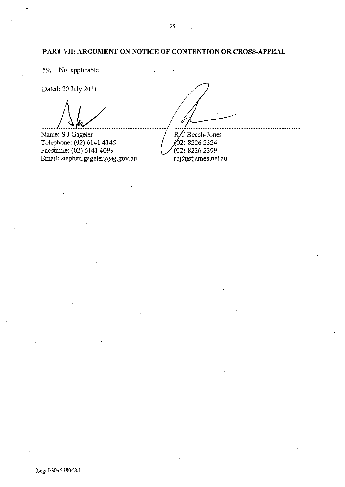## **PART VII: ARGUMENT ON NOTICE OF CONTENTION OR CROSS-APPEAL**

59. Not applicable.

Dated: 20 July 2011

Name: S J Gageler Telephone: (02) 6141 4145 Facsimile: (02) 6141 4099 Email: stephen.gageler@ag.gov.au

R/T Beech-Jones

 $(62)$  8226 2324  $(02)$  8226 2399 rbj@stjames.net.au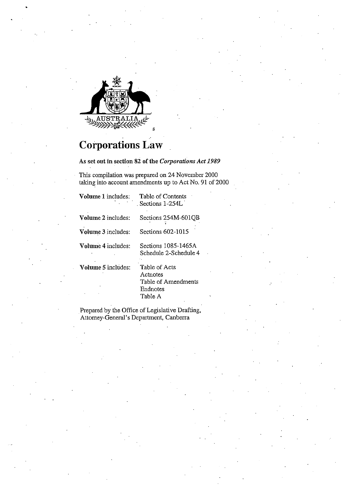

# **Corporations Law**

As set out **in** section 82 of the *Corporations Act 1989* 

This compilation was prepared on 24 November 2000 taking into account amendments up to Act No. 91 of 2000

| <b>Volume 1</b> includes: | Table of Contents<br>Sections 1-254L                                     |
|---------------------------|--------------------------------------------------------------------------|
| Volume 2 includes:        | Sections 254M-601OB                                                      |
| Volume 3 includes:        | Sections 602-1015                                                        |
| Volume 4 includes:        | Sections 1085-1465A<br>Schedule 2-Schedule 4                             |
| Volume 5 includes:        | Table of Acts<br>Actriotes<br>Table of Amendments<br>Endnotes<br>Table A |

. Prepared by the Office of Legislative Drafting, Attorney-General's Department, Canberra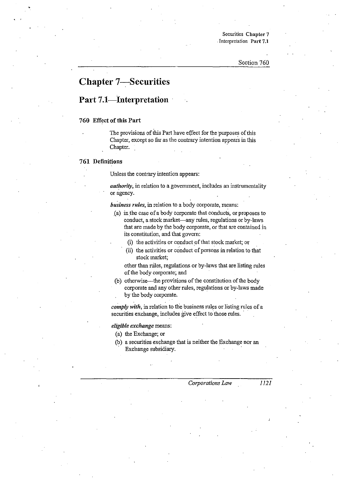Securities Chapter 7 . Interpretation Part 7.1

# **Chapter 7-Securities**

## **Part 7.1-Interpretation**

### 760 Effect of this Part

The provisions of this Part have effect for the purposes of this Chapter, except so far as the contrary intention appears in this Chapter.

### 761 Definitions

Unless the contrary intention appears:

*authority*, in relation to a government, includes an instrumentality or agency.

*business rules*, in relation to a body corporate, means:

- Ca) inthe case ofa body corporate that conducts, or proposes to conduct, a stock market—any rules, regulations or by-laws that are made by the body corporate, or that are contained in its constitution, and that govern:
	- (i) the activities or conduct of that stock market; or
	- $(ii)$  the activities or conduct of persons in relation to that stock market;

other than niles, regulations or by-laws that are listing rules of the body corporate; and

(b) otherwise--the provisions of the constitution of the body corporate and any other rules, regulations or by-laws made by the body corporate.

*comply with*, in relation to the business rules or listing rules of a securities exchange, includes give effect to those rules.

*eligible exchange* means:

( a) the Exchange; or

(b) a securities exchange that is neither the Exchange nor an Exchange subsidiary.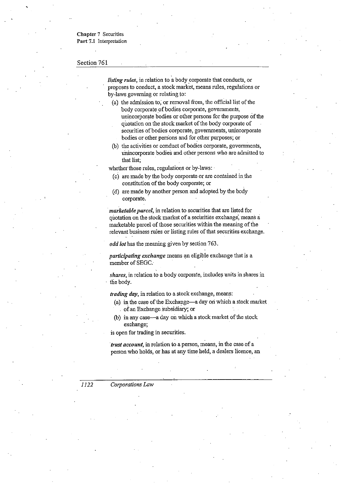**Chapter 7 Securities Part** 7.1 Interpretation

### Section 761

 $\ddot{\phantom{0}}$ 

*listing rules,* in relation to a body corporate that conducts, or proposes to conduct, a stock market, means rules, regulations or by-laws governing or relating to:

- (a) the admission to; or removal from, the official list of the body corporate of bodies corporate, governments, unincorporate bodies or other persons for the purpose of the quotation on the stock market of the body corporate of securities of bodies corporate, governments, unincorporate bodies or other persons and for other purposes; or
- (b) the activities or conduct of bodies corporate, governments, Unincorporate bodies and other persons who are admitted to that list;

whether those rules, regulations or by-laws: .

- (c) are made by the body corporate or are contained in the constitution of the body corporate; or
- (d) are made by another person and adopted by the body corporate.

*. marketable parcel,* in relation to securities that are listed for quotation on the stock market of a secirrities exchange; means a marketable parcel of those securities within the meaning of the relevant business rules or listing rules of that securities exchange.

*odd lot* has the meaning given by section 763.

*participating exchange* means an eligible exchange that is a member of SEGC.

*shares,* in relation to a body corporate, includes units in shares in the body.

*trading day,* in relation to a stock exchange, means:

- (a) in the case of the Exchange—a day on which a stock market . of an Exchange subsidiary; or
- (b) in any case---a day on which a stock market of the stock exchange;

is open for trading in securities.

*"trust account,* **in relation to a person, means, in the case of a**  person who holds, or has at any time held, a dealers licence, an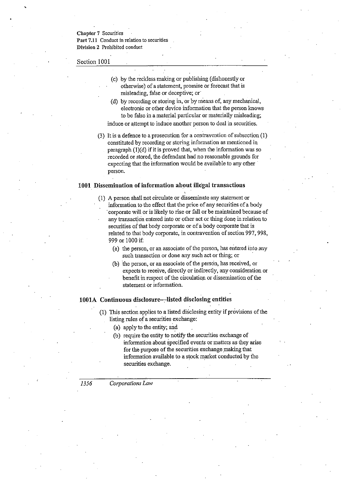**Chapter 7 Securities Part 7.11 Conduct in relation to securities Division 2 Prohibited conduct** 

### Section 1001

- (c) by the reckless making or publishing (dishonestly or otherwise) of a statement, promise or forecast that is misleading, false or deceptive; or
- $(d)$  by recording or storing in, or by means of, any mechanical, electronic or other device information that the person knows to be false in a material particular or materially misleading;
- induce or attempt to induce another person to deal in securities.
- (3) It isa defence to a prosecution for a contravention of subsection (1) constituted by recording or storing information as mentioned in paragraph  $(1)(d)$  if it is proved that, when the information was so recorded or stored, the defendant had no reasonable grounds for expecting that the information would be available to any other . person.

### **1001 Dissemination of information abont illegal transactions**

- (1) A person shall not circulate or disseminate any statement or information to the effect that the price of any securities of a body . corporate will or is likely to rise or fall or be maintained because of any transaction entered into or other act or thing done in relation to securities of that body corporate or of a body corporate that is related to that body corporate, in contravention of section 997, 998, 999 or 1000 if:
	- (a) the person, or an associate of the person, has entered into any such transaction or done any snch act or thing; or
	- (b) the person, or an associate of the person, has received, or expects to receive, directly or indirectly, any consideration or benefit in respect of the circulation or dissemination of the statement or information.

### 1001A Continuous disclosure-listed disclosing entities

- (1) This section applies to a listed disclosing entity if provisions of the listing rules of a securities exchange:
	- (a) apply to the entity; and
	- (b) require the entity to notify the securities exchange of information about specified events or matters as they arise for the purpose of the securities exchange making that information available to a stock market conducted by the securities exchange.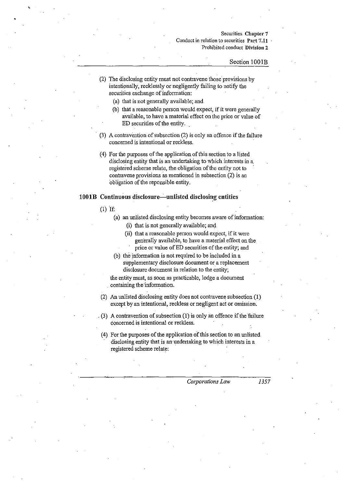### **Securities Chapter 7 Conduct in relation to securities Part 7.11 Prohibited conduct Division 2**

#### Section IOOIB

- (2) The disclosing entity must not contravene those' provisions by intentionally, recklessly or negligently failing to notify the securities exchange of information:
	- (a) that is not generally available; and
	- (b) that a reasonable person would expect, if it were generally available, to have a material effect on the price or value of ED securities of the entity. .
- . (3) A contravention of subsection (2) is only an offence if the failure concerned is intentional or reckless.
- $(4)$  For the purposes of the application of this section to a listed disclosing entity that is an undertaking to which interests in a. registered scheme relate, the obligation of the entity not to contravene provisions as mentioned in subsection (2) is an obligation of the reponsible entity.

### 1001B Continuous disclosure---unlisted disclosing entities

 $(1)$  If:

- (a) an unlisted disclosing entity becomes aware of information:
	- (i) that is not generally available; and
	- (ii) that a reasonable person wouid expect, if it were generally available, to have a material effect on the price or value of ED securities of the entity; and
- (b) the information is not required to be included in a supplementary disclosure document or a replacement disclosure document in relation to the entity;

the entity must, as soon as practicable, lodge a document containing the information.

- (2) An unlisted disclosing entity does not contravene subsection (1) except by an intentional, reckless or negligent act or omission .
- . (3) A contravention of subsection (I) is only an offence if the failure concerned is intentional or reckless.
- (4) For the purposes of the application of this section to an unlisted disclosing entity that is an' undertaking to which interests in a registered scheme relate: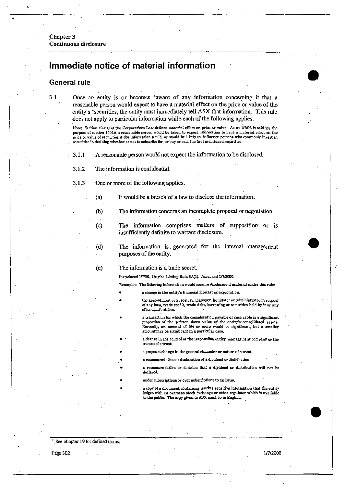Chapter 3 Continuous disclosure

# Immediate notice of material. information

## General rule

3.1 Once an entity is or becomes +aware of any information concerning it that ·a reasonable person would expect to have a material effect on the price or value of the entity's +securities, the entity must immediately tell ASX that information. This rule does not apply to particular' information while each of the following applies. .

> Note: Section 1001D of the Corporations Law defines material effect on price or value. As at 1/7/96 it said for the purpose of section 1001A a reasonable person would be taken to expect information to have a material effect on the price or value of securities if the information would, or would be likely to, influence persons who commonly invest in securities in deciding whether or not to subscribe for, or buy or sell, the first mentioned securities.

- . 3.1.1 A reasonable person would not expect the information to be disclosed ..
- 3.1.2 The information is confidential.
- 3.1.3 One or more of the following applies.
	- (a) It would be a breach of a law to disclose the information.
	- (b) The information concerns an incomplete proposal or negotiation.
	- (c) The information. comprises. matters of supposition' or is insufficiently definite to warrant disclosure.
	- (d) The informatiou is. generated for the internal management purposes of the entity. .
	- (e) The inforination is a trade secret.

•

• • •

• •

Introduced 1/7/96. Origin: Listing Rule 3A(1), Amended 1/7/2000.

Examples: The following information would require disclosure ifmaterial under this rule:

- a change in the entity's financial furecast or expectation.
- the appointment of a receiver, manager, liquidator or administrator in respect of any loan, trade credit, trade debt, borrowing or securities held by it or any of its child entities.
- a transaction for which the consideration payable or receivable is a significant proportion of the written down value of the entity's consolidated assets.<br>Normally, an amount of 5% or more would be significant, but a smaller amount may be significant in a particular case.
	- a change in the control of the responsible entity, management company or the trustee ofa trust.
	- a proposed change in the general character or nature of a trust.
	- a recommendation or declaration of a dividend or distribution.
	- a recommendation or decision that a dividend or distribution will not be declared.
	- under subscriptions or over subscriptions to an issue.
	- a copy of a document containing market sensitive information that the entity lodges with an overseas stock exchange or other regulator which is available to the public. The copy given to ABX must be in English.

 $+$  See chapter 19 for defined terms.

I.

•

 $\begin{array}{|c|c|} \hline \bullet & \bullet \end{array}$ 

 $\begin{array}{|c|c|} \hline \rule{0pt}{1ex} \rule{0pt}{2.5ex} \rule{0pt}{2.5ex} \rule{0pt}{2.5ex} \rule{0pt}{2.5ex} \rule{0pt}{2.5ex} \rule{0pt}{2.5ex} \rule{0pt}{2.5ex} \rule{0pt}{2.5ex} \rule{0pt}{2.5ex} \rule{0pt}{2.5ex} \rule{0pt}{2.5ex} \rule{0pt}{2.5ex} \rule{0pt}{2.5ex} \rule{0pt}{2.5ex} \rule{0pt}{2.5ex} \rule{0pt}{2.5ex} \rule{0pt}{2.5ex} \rule{0pt}{2.5ex$